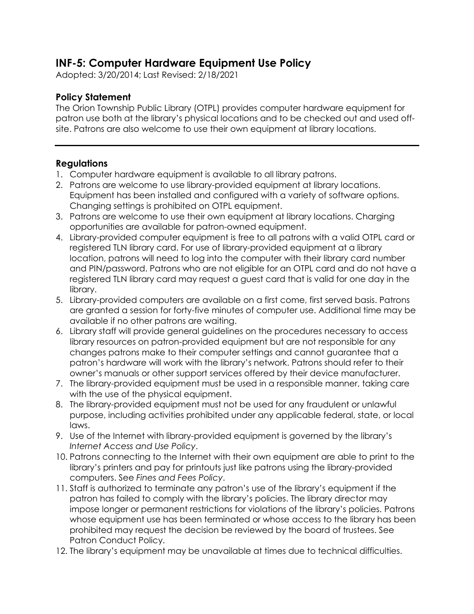## **INF-5: Computer Hardware Equipment Use Policy**

Adopted: 3/20/2014; Last Revised: 2/18/2021

## **Policy Statement**

The Orion Township Public Library (OTPL) provides computer hardware equipment for patron use both at the library's physical locations and to be checked out and used offsite. Patrons are also welcome to use their own equipment at library locations.

## **Regulations**

- 1. Computer hardware equipment is available to all library patrons.
- 2. Patrons are welcome to use library-provided equipment at library locations. Equipment has been installed and configured with a variety of software options. Changing settings is prohibited on OTPL equipment.
- 3. Patrons are welcome to use their own equipment at library locations. Charging opportunities are available for patron-owned equipment.
- 4. Library-provided computer equipment is free to all patrons with a valid OTPL card or registered TLN library card. For use of library-provided equipment at a library location, patrons will need to log into the computer with their library card number and PIN/password. Patrons who are not eligible for an OTPL card and do not have a registered TLN library card may request a guest card that is valid for one day in the library.
- 5. Library-provided computers are available on a first come, first served basis. Patrons are granted a session for forty-five minutes of computer use. Additional time may be available if no other patrons are waiting.
- 6. Library staff will provide general guidelines on the procedures necessary to access library resources on patron-provided equipment but are not responsible for any changes patrons make to their computer settings and cannot guarantee that a patron's hardware will work with the library's network. Patrons should refer to their owner's manuals or other support services offered by their device manufacturer.
- 7. The library-provided equipment must be used in a responsible manner, taking care with the use of the physical equipment.
- 8. The library-provided equipment must not be used for any fraudulent or unlawful purpose, including activities prohibited under any applicable federal, state, or local laws.
- 9. Use of the Internet with library-provided equipment is governed by the library's *Internet Access and Use Policy*.
- 10. Patrons connecting to the Internet with their own equipment are able to print to the library's printers and pay for printouts just like patrons using the library-provided computers. See *Fines and Fees Policy*.
- 11. Staff is authorized to terminate any patron's use of the library's equipment if the patron has failed to comply with the library's policies. The library director may impose longer or permanent restrictions for violations of the library's policies. Patrons whose equipment use has been terminated or whose access to the library has been prohibited may request the decision be reviewed by the board of trustees. See Patron Conduct Policy.
- 12. The library's equipment may be unavailable at times due to technical difficulties.